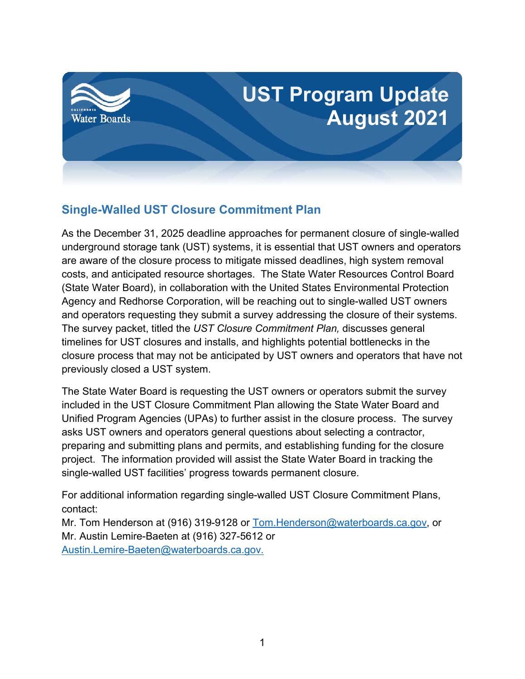

#### **Single-Walled UST Closure Commitment Plan**

As the December 31, 2025 deadline approaches for permanent closure of single-walled underground storage tank (UST) systems, it is essential that UST owners and operators are aware of the closure process to mitigate missed deadlines, high system removal costs, and anticipated resource shortages. The State Water Resources Control Board (State Water Board), in collaboration with the United States Environmental Protection Agency and Redhorse Corporation, will be reaching out to single-walled UST owners and operators requesting they submit a survey addressing the closure of their systems. The survey packet, titled the *UST Closure Commitment Plan,* discusses general timelines for UST closures and installs, and highlights potential bottlenecks in the closure process that may not be anticipated by UST owners and operators that have not previously closed a UST system.

The State Water Board is requesting the UST owners or operators submit the survey included in the UST Closure Commitment Plan allowing the State Water Board and Unified Program Agencies (UPAs) to further assist in the closure process. The survey asks UST owners and operators general questions about selecting a contractor, preparing and submitting plans and permits, and establishing funding for the closure project. The information provided will assist the State Water Board in tracking the single-walled UST facilities' progress towards permanent closure.

For additional information regarding single-walled UST Closure Commitment Plans, contact:

Mr. Tom Henderson at (916) 319-9128 or [Tom.Henderson@waterboards.ca.gov,](mailto:Tom.Henderson@waterboards.ca.gov) or Mr. Austin Lemire-Baeten at (916) 327-5612 or [Austin.Lemire-Baeten@waterboards.ca.gov](mailto:Austin.Lemire-Baeten@waterboards.ca.gov).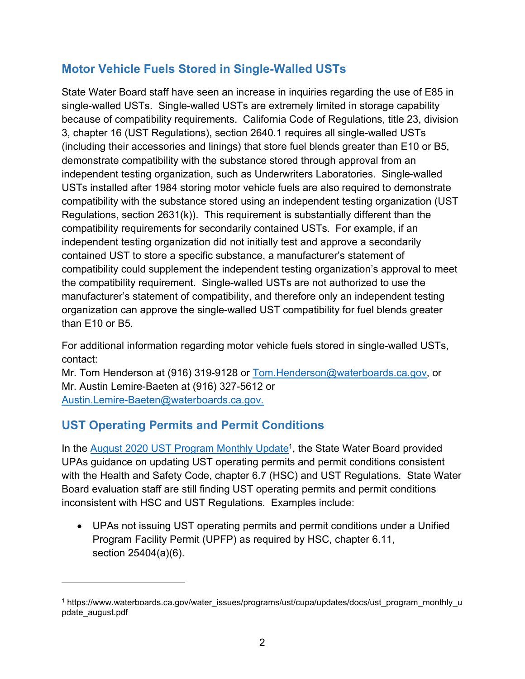## **Motor Vehicle Fuels Stored in Single-Walled USTs**

State Water Board staff have seen an increase in inquiries regarding the use of E85 in single-walled USTs. Single-walled USTs are extremely limited in storage capability because of compatibility requirements. California Code of Regulations, title 23, division 3, chapter 16 (UST Regulations), section 2640.1 requires all single-walled USTs (including their accessories and linings) that store fuel blends greater than E10 or B5, demonstrate compatibility with the substance stored through approval from an independent testing organization, such as Underwriters Laboratories. Single-walled USTs installed after 1984 storing motor vehicle fuels are also required to demonstrate compatibility with the substance stored using an independent testing organization (UST Regulations, section 2631(k)). This requirement is substantially different than the compatibility requirements for secondarily contained USTs. For example, if an independent testing organization did not initially test and approve a secondarily contained UST to store a specific substance, a manufacturer's statement of compatibility could supplement the independent testing organization's approval to meet the compatibility requirement. Single-walled USTs are not authorized to use the manufacturer's statement of compatibility, and therefore only an independent testing organization can approve the single-walled UST compatibility for fuel blends greater than E10 or B5.

For additional information regarding motor vehicle fuels stored in single-walled USTs, contact:

Mr. Tom Henderson at (916) 319-9128 or [Tom.Henderson@waterboards.ca.gov,](mailto:Tom.Henderson@waterboards.ca.gov) or Mr. Austin Lemire-Baeten at (916) 327-5612 or [Austin.Lemire-Baeten@waterboards.ca.gov](mailto:Austin.Lemire-Baeten@waterboards.ca.gov).

# **UST Operating Permits and Permit Conditions**

In the <u>August 2020 UST Program Monthly Update</u><sup>[1](#page-1-0)</sup>, the State Water Board provided UPAs guidance on updating UST operating permits and permit conditions consistent with the Health and Safety Code, chapter 6.7 (HSC) and UST Regulations. State Water Board evaluation staff are still finding UST operating permits and permit conditions inconsistent with HSC and UST Regulations. Examples include:

· UPAs not issuing UST operating permits and permit conditions under a Unified Program Facility Permit (UPFP) as required by HSC, chapter 6.11, section 25404(a)(6).

<span id="page-1-0"></span><sup>1</sup> https://www.waterboards.ca.gov/water\_issues/programs/ust/cupa/updates/docs/ust\_program\_monthly\_u pdate\_august.pdf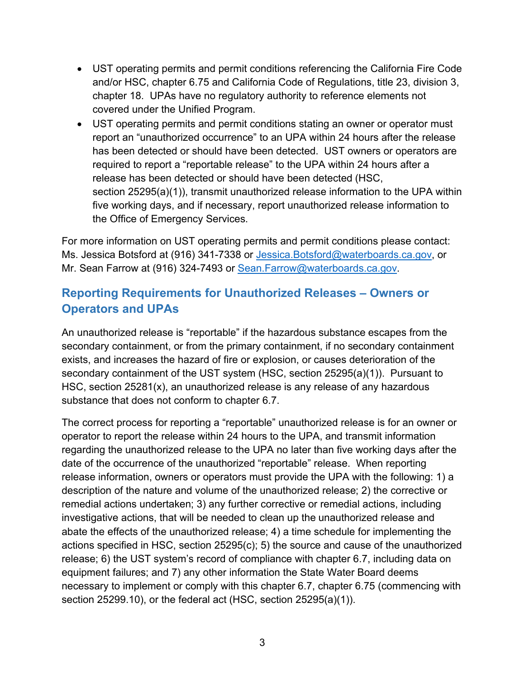- · UST operating permits and permit conditions referencing the California Fire Code and/or HSC, chapter 6.75 and California Code of Regulations, title 23, division 3, chapter 18. UPAs have no regulatory authority to reference elements not covered under the Unified Program.
- · UST operating permits and permit conditions stating an owner or operator must report an "unauthorized occurrence" to an UPA within 24 hours after the release has been detected or should have been detected. UST owners or operators are required to report a "reportable release" to the UPA within 24 hours after a release has been detected or should have been detected (HSC, section 25295(a)(1)), transmit unauthorized release information to the UPA within five working days, and if necessary, report unauthorized release information to the Office of Emergency Services.

For more information on UST operating permits and permit conditions please contact: Ms. Jessica Botsford at (916) 341-7338 or [Jessica.Botsford@waterboards.ca.gov,](mailto:Jessica.Botsford@waterboards.ca.gov) or Mr. Sean Farrow at (916) 324-7493 or [Sean.Farrow@waterboards.ca.gov](mailto:Sean.Farrow@waterboards.ca.gov).

## **Reporting Requirements for Unauthorized Releases – Owners or Operators and UPAs**

An unauthorized release is "reportable" if the hazardous substance escapes from the secondary containment, or from the primary containment, if no secondary containment exists, and increases the hazard of fire or explosion, or causes deterioration of the secondary containment of the UST system (HSC, section 25295(a)(1)). Pursuant to HSC, section 25281(x), an unauthorized release is any release of any hazardous substance that does not conform to chapter 6.7.

The correct process for reporting a "reportable" unauthorized release is for an owner or operator to report the release within 24 hours to the UPA, and transmit information regarding the unauthorized release to the UPA no later than five working days after the date of the occurrence of the unauthorized "reportable" release. When reporting release information, owners or operators must provide the UPA with the following: 1) a description of the nature and volume of the unauthorized release; 2) the corrective or remedial actions undertaken; 3) any further corrective or remedial actions, including investigative actions, that will be needed to clean up the unauthorized release and abate the effects of the unauthorized release; 4) a time schedule for implementing the actions specified in HSC, section 25295(c); 5) the source and cause of the unauthorized release; 6) the UST system's record of compliance with chapter 6.7, including data on equipment failures; and 7) any other information the State Water Board deems necessary to implement or comply with this chapter 6.7, chapter 6.75 (commencing with section 25299.10), or the federal act (HSC, section 25295(a)(1)).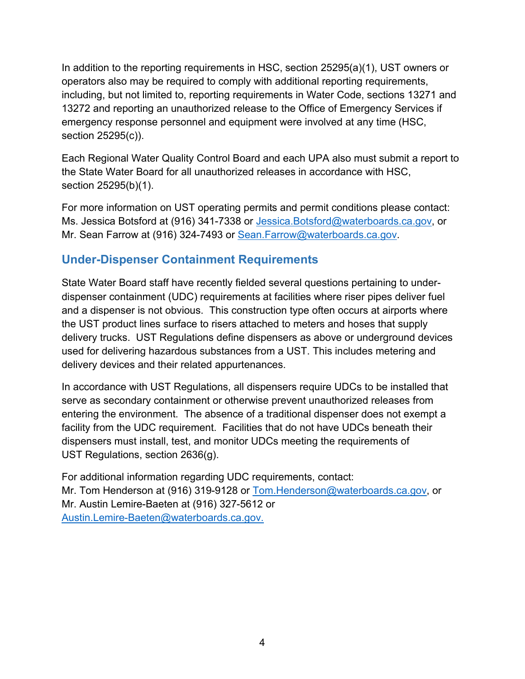In addition to the reporting requirements in HSC, section 25295(a)(1), UST owners or operators also may be required to comply with additional reporting requirements, including, but not limited to, reporting requirements in Water Code, sections 13271 and 13272 and reporting an unauthorized release to the Office of Emergency Services if emergency response personnel and equipment were involved at any time (HSC, section 25295(c)).

Each Regional Water Quality Control Board and each UPA also must submit a report to the State Water Board for all unauthorized releases in accordance with HSC, section 25295(b)(1).

For more information on UST operating permits and permit conditions please contact: Ms. Jessica Botsford at (916) 341-7338 or [Jessica.Botsford@waterboards.ca.gov,](mailto:Jessica.Botsford@waterboards.ca.gov) or Mr. Sean Farrow at (916) 324-7493 or [Sean.Farrow@waterboards.ca.gov](mailto:Sean.Farrow@waterboards.ca.gov).

#### **Under-Dispenser Containment Requirements**

State Water Board staff have recently fielded several questions pertaining to underdispenser containment (UDC) requirements at facilities where riser pipes deliver fuel and a dispenser is not obvious. This construction type often occurs at airports where the UST product lines surface to risers attached to meters and hoses that supply delivery trucks. UST Regulations define dispensers as above or underground devices used for delivering hazardous substances from a UST. This includes metering and delivery devices and their related appurtenances.

In accordance with UST Regulations, all dispensers require UDCs to be installed that serve as secondary containment or otherwise prevent unauthorized releases from entering the environment. The absence of a traditional dispenser does not exempt a facility from the UDC requirement. Facilities that do not have UDCs beneath their dispensers must install, test, and monitor UDCs meeting the requirements of UST Regulations, section 2636(g).

For additional information regarding UDC requirements, contact: Mr. Tom Henderson at (916) 319-9128 or [Tom.Henderson@waterboards.ca.gov,](mailto:Tom.Henderson@waterboards.ca.gov) or Mr. Austin Lemire-Baeten at (916) 327-5612 or [Austin.Lemire-Baeten@waterboards.ca.gov](mailto:Austin.Lemire-Baeten@waterboards.ca.gov).